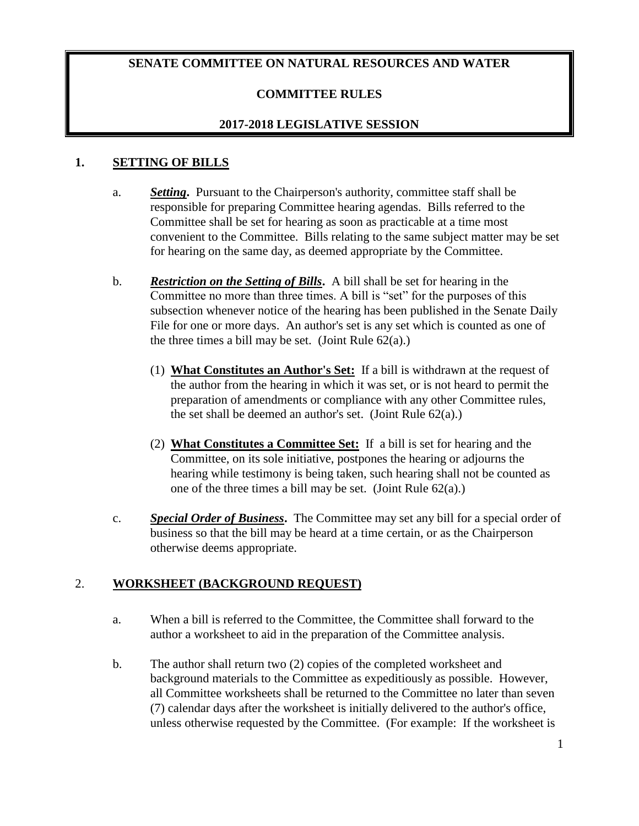### **SENATE COMMITTEE ON NATURAL RESOURCES AND WATER**

## **COMMITTEE RULES**

### **2017-2018 LEGISLATIVE SESSION**

#### **1. SETTING OF BILLS**

- a. *Setting***.** Pursuant to the Chairperson's authority, committee staff shall be responsible for preparing Committee hearing agendas. Bills referred to the Committee shall be set for hearing as soon as practicable at a time most convenient to the Committee. Bills relating to the same subject matter may be set for hearing on the same day, as deemed appropriate by the Committee.
- b. *Restriction on the Setting of Bills***.** A bill shall be set for hearing in the Committee no more than three times. A bill is "set" for the purposes of this subsection whenever notice of the hearing has been published in the Senate Daily File for one or more days. An author's set is any set which is counted as one of the three times a bill may be set. (Joint Rule  $62(a)$ .)
	- (1) **What Constitutes an Author's Set:** If a bill is withdrawn at the request of the author from the hearing in which it was set, or is not heard to permit the preparation of amendments or compliance with any other Committee rules, the set shall be deemed an author's set. (Joint Rule  $62(a)$ .)
	- (2) **What Constitutes a Committee Set:** If a bill is set for hearing and the Committee, on its sole initiative, postpones the hearing or adjourns the hearing while testimony is being taken, such hearing shall not be counted as one of the three times a bill may be set. (Joint Rule 62(a).)
- c. *Special Order of Business***.** The Committee may set any bill for a special order of business so that the bill may be heard at a time certain, or as the Chairperson otherwise deems appropriate.

#### 2. **WORKSHEET (BACKGROUND REQUEST)**

- a. When a bill is referred to the Committee, the Committee shall forward to the author a worksheet to aid in the preparation of the Committee analysis.
- b. The author shall return two (2) copies of the completed worksheet and background materials to the Committee as expeditiously as possible. However, all Committee worksheets shall be returned to the Committee no later than seven (7) calendar days after the worksheet is initially delivered to the author's office, unless otherwise requested by the Committee. (For example: If the worksheet is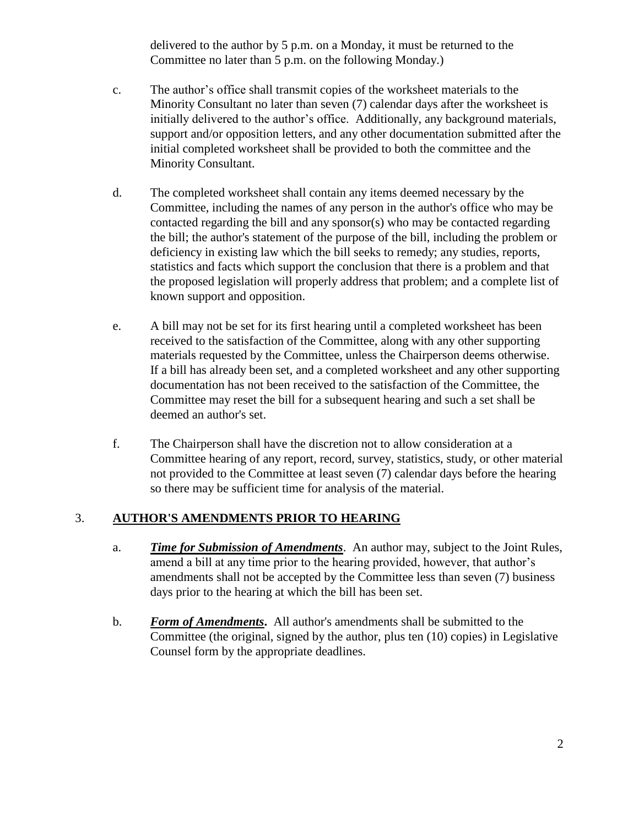delivered to the author by 5 p.m. on a Monday, it must be returned to the Committee no later than 5 p.m. on the following Monday.)

- c. The author's office shall transmit copies of the worksheet materials to the Minority Consultant no later than seven (7) calendar days after the worksheet is initially delivered to the author's office. Additionally, any background materials, support and/or opposition letters, and any other documentation submitted after the initial completed worksheet shall be provided to both the committee and the Minority Consultant.
- d. The completed worksheet shall contain any items deemed necessary by the Committee, including the names of any person in the author's office who may be contacted regarding the bill and any sponsor(s) who may be contacted regarding the bill; the author's statement of the purpose of the bill, including the problem or deficiency in existing law which the bill seeks to remedy; any studies, reports, statistics and facts which support the conclusion that there is a problem and that the proposed legislation will properly address that problem; and a complete list of known support and opposition.
- e. A bill may not be set for its first hearing until a completed worksheet has been received to the satisfaction of the Committee, along with any other supporting materials requested by the Committee, unless the Chairperson deems otherwise. If a bill has already been set, and a completed worksheet and any other supporting documentation has not been received to the satisfaction of the Committee, the Committee may reset the bill for a subsequent hearing and such a set shall be deemed an author's set.
- f. The Chairperson shall have the discretion not to allow consideration at a Committee hearing of any report, record, survey, statistics, study, or other material not provided to the Committee at least seven (7) calendar days before the hearing so there may be sufficient time for analysis of the material.

#### 3. **AUTHOR'S AMENDMENTS PRIOR TO HEARING**

- a. *Time for Submission of Amendments*. An author may, subject to the Joint Rules, amend a bill at any time prior to the hearing provided, however, that author's amendments shall not be accepted by the Committee less than seven (7) business days prior to the hearing at which the bill has been set.
- b. *Form of Amendments***.** All author's amendments shall be submitted to the Committee (the original, signed by the author, plus ten (10) copies) in Legislative Counsel form by the appropriate deadlines.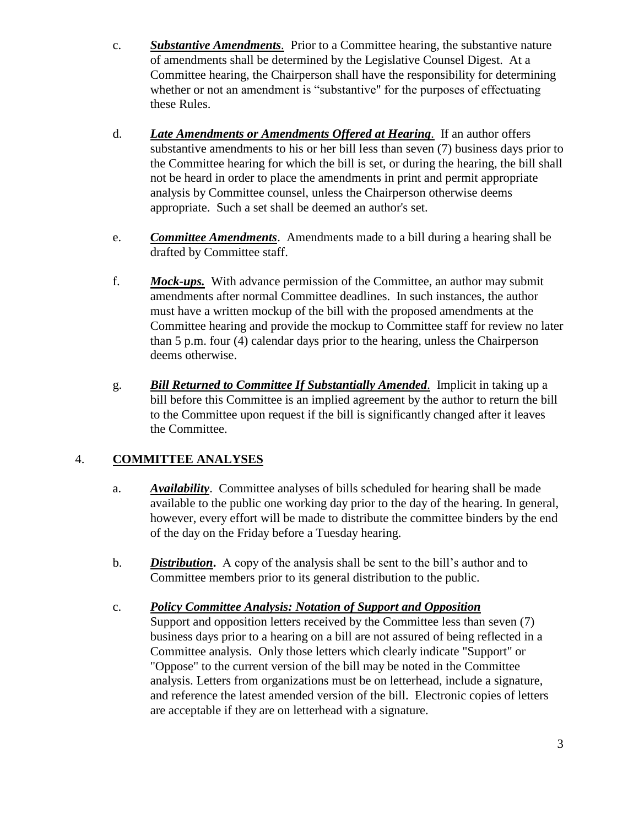- c. *Substantive Amendments.* Prior to a Committee hearing, the substantive nature of amendments shall be determined by the Legislative Counsel Digest. At a Committee hearing, the Chairperson shall have the responsibility for determining whether or not an amendment is "substantive" for the purposes of effectuating these Rules.
- d. *Late Amendments or Amendments Offered at Hearing.* If an author offers substantive amendments to his or her bill less than seven (7) business days prior to the Committee hearing for which the bill is set, or during the hearing, the bill shall not be heard in order to place the amendments in print and permit appropriate analysis by Committee counsel, unless the Chairperson otherwise deems appropriate. Such a set shall be deemed an author's set.
- e. *Committee Amendments*. Amendments made to a bill during a hearing shall be drafted by Committee staff.
- f. *Mock-ups.* With advance permission of the Committee, an author may submit amendments after normal Committee deadlines. In such instances, the author must have a written mockup of the bill with the proposed amendments at the Committee hearing and provide the mockup to Committee staff for review no later than 5 p.m. four (4) calendar days prior to the hearing, unless the Chairperson deems otherwise.
- g. *Bill Returned to Committee If Substantially Amended.* Implicit in taking up a bill before this Committee is an implied agreement by the author to return the bill to the Committee upon request if the bill is significantly changed after it leaves the Committee.

# 4. **COMMITTEE ANALYSES**

- a. *Availability*. Committee analyses of bills scheduled for hearing shall be made available to the public one working day prior to the day of the hearing. In general, however, every effort will be made to distribute the committee binders by the end of the day on the Friday before a Tuesday hearing.
- b. *Distribution***.** A copy of the analysis shall be sent to the bill's author and to Committee members prior to its general distribution to the public.
- c. *Policy Committee Analysis: Notation of Support and Opposition* Support and opposition letters received by the Committee less than seven (7) business days prior to a hearing on a bill are not assured of being reflected in a Committee analysis. Only those letters which clearly indicate "Support" or "Oppose" to the current version of the bill may be noted in the Committee analysis. Letters from organizations must be on letterhead, include a signature, and reference the latest amended version of the bill. Electronic copies of letters are acceptable if they are on letterhead with a signature.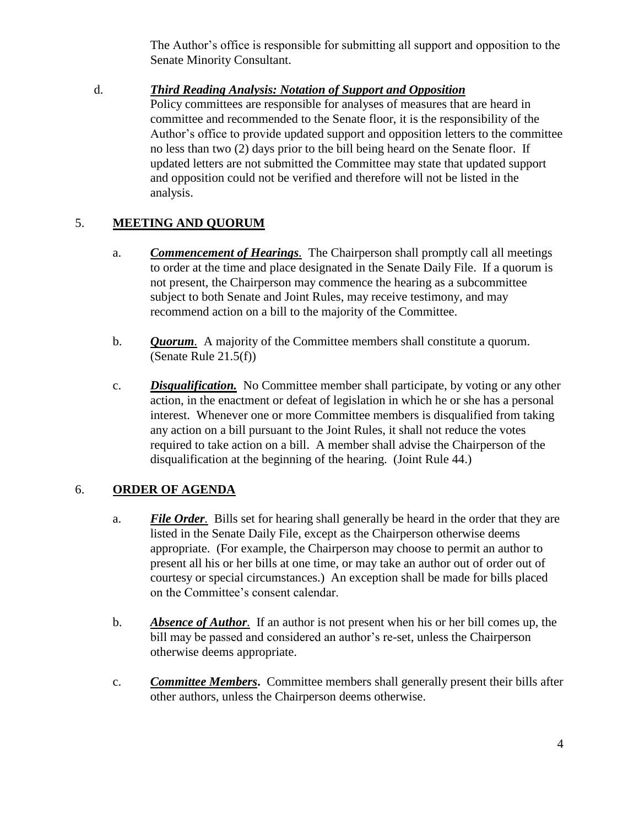The Author's office is responsible for submitting all support and opposition to the Senate Minority Consultant.

#### d. *Third Reading Analysis: Notation of Support and Opposition*

Policy committees are responsible for analyses of measures that are heard in committee and recommended to the Senate floor, it is the responsibility of the Author's office to provide updated support and opposition letters to the committee no less than two (2) days prior to the bill being heard on the Senate floor. If updated letters are not submitted the Committee may state that updated support and opposition could not be verified and therefore will not be listed in the analysis.

## 5. **MEETING AND QUORUM**

- a. *Commencement of Hearings.* The Chairperson shall promptly call all meetings to order at the time and place designated in the Senate Daily File. If a quorum is not present, the Chairperson may commence the hearing as a subcommittee subject to both Senate and Joint Rules, may receive testimony, and may recommend action on a bill to the majority of the Committee.
- b. *Quorum.* A majority of the Committee members shall constitute a quorum. (Senate Rule 21.5(f))
- c. *Disqualification.* No Committee member shall participate, by voting or any other action, in the enactment or defeat of legislation in which he or she has a personal interest. Whenever one or more Committee members is disqualified from taking any action on a bill pursuant to the Joint Rules, it shall not reduce the votes required to take action on a bill. A member shall advise the Chairperson of the disqualification at the beginning of the hearing. (Joint Rule 44.)

## 6. **ORDER OF AGENDA**

- a. *File Order.* Bills set for hearing shall generally be heard in the order that they are listed in the Senate Daily File, except as the Chairperson otherwise deems appropriate. (For example, the Chairperson may choose to permit an author to present all his or her bills at one time, or may take an author out of order out of courtesy or special circumstances.) An exception shall be made for bills placed on the Committee's consent calendar.
- b. *Absence of Author.* If an author is not present when his or her bill comes up, the bill may be passed and considered an author's re-set, unless the Chairperson otherwise deems appropriate.
- c. *Committee Members***.** Committee members shall generally present their bills after other authors, unless the Chairperson deems otherwise.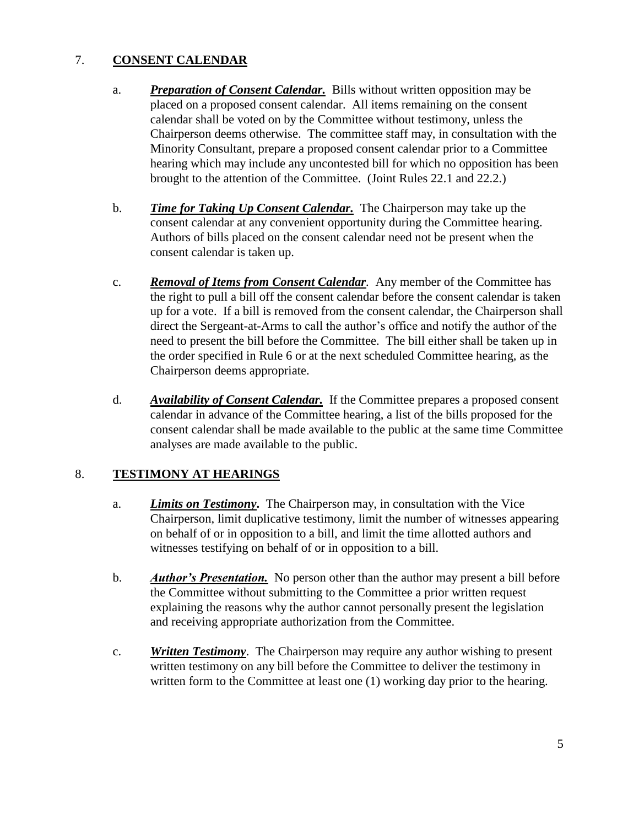## 7. **CONSENT CALENDAR**

- a. *Preparation of Consent Calendar.* Bills without written opposition may be placed on a proposed consent calendar. All items remaining on the consent calendar shall be voted on by the Committee without testimony, unless the Chairperson deems otherwise. The committee staff may, in consultation with the Minority Consultant, prepare a proposed consent calendar prior to a Committee hearing which may include any uncontested bill for which no opposition has been brought to the attention of the Committee. (Joint Rules 22.1 and 22.2.)
- b. *Time for Taking Up Consent Calendar.* The Chairperson may take up the consent calendar at any convenient opportunity during the Committee hearing. Authors of bills placed on the consent calendar need not be present when the consent calendar is taken up.
- c. *Removal of Items from Consent Calendar.* Any member of the Committee has the right to pull a bill off the consent calendar before the consent calendar is taken up for a vote. If a bill is removed from the consent calendar, the Chairperson shall direct the Sergeant-at-Arms to call the author's office and notify the author of the need to present the bill before the Committee. The bill either shall be taken up in the order specified in Rule 6 or at the next scheduled Committee hearing, as the Chairperson deems appropriate.
- d. *Availability of Consent Calendar.* If the Committee prepares a proposed consent calendar in advance of the Committee hearing, a list of the bills proposed for the consent calendar shall be made available to the public at the same time Committee analyses are made available to the public.

## 8. **TESTIMONY AT HEARINGS**

- a. *Limits on Testimony***.** The Chairperson may, in consultation with the Vice Chairperson, limit duplicative testimony, limit the number of witnesses appearing on behalf of or in opposition to a bill, and limit the time allotted authors and witnesses testifying on behalf of or in opposition to a bill.
- b. *Author's Presentation.* No person other than the author may present a bill before the Committee without submitting to the Committee a prior written request explaining the reasons why the author cannot personally present the legislation and receiving appropriate authorization from the Committee.
- c. *Written Testimony*. The Chairperson may require any author wishing to present written testimony on any bill before the Committee to deliver the testimony in written form to the Committee at least one (1) working day prior to the hearing.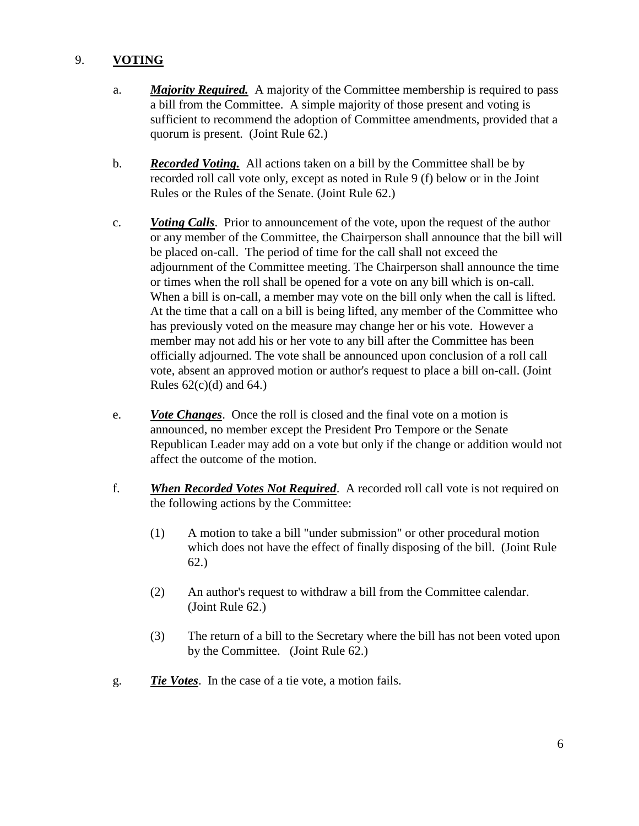### 9. **VOTING**

- a. *Majority Required.* A majority of the Committee membership is required to pass a bill from the Committee. A simple majority of those present and voting is sufficient to recommend the adoption of Committee amendments, provided that a quorum is present. (Joint Rule 62.)
- b. *Recorded Voting.* All actions taken on a bill by the Committee shall be by recorded roll call vote only, except as noted in Rule 9 (f) below or in the Joint Rules or the Rules of the Senate. (Joint Rule 62.)
- c. *Voting Calls*. Prior to announcement of the vote, upon the request of the author or any member of the Committee, the Chairperson shall announce that the bill will be placed on-call. The period of time for the call shall not exceed the adjournment of the Committee meeting. The Chairperson shall announce the time or times when the roll shall be opened for a vote on any bill which is on-call. When a bill is on-call, a member may vote on the bill only when the call is lifted. At the time that a call on a bill is being lifted, any member of the Committee who has previously voted on the measure may change her or his vote. However a member may not add his or her vote to any bill after the Committee has been officially adjourned. The vote shall be announced upon conclusion of a roll call vote, absent an approved motion or author's request to place a bill on-call. (Joint Rules  $62(c)(d)$  and  $64.$ )
- e. *Vote Changes*. Once the roll is closed and the final vote on a motion is announced, no member except the President Pro Tempore or the Senate Republican Leader may add on a vote but only if the change or addition would not affect the outcome of the motion.
- f. *When Recorded Votes Not Required*. A recorded roll call vote is not required on the following actions by the Committee:
	- (1) A motion to take a bill "under submission" or other procedural motion which does not have the effect of finally disposing of the bill. (Joint Rule 62.)
	- (2) An author's request to withdraw a bill from the Committee calendar. (Joint Rule 62.)
	- (3) The return of a bill to the Secretary where the bill has not been voted upon by the Committee. (Joint Rule 62.)
- g. *Tie Votes*. In the case of a tie vote, a motion fails.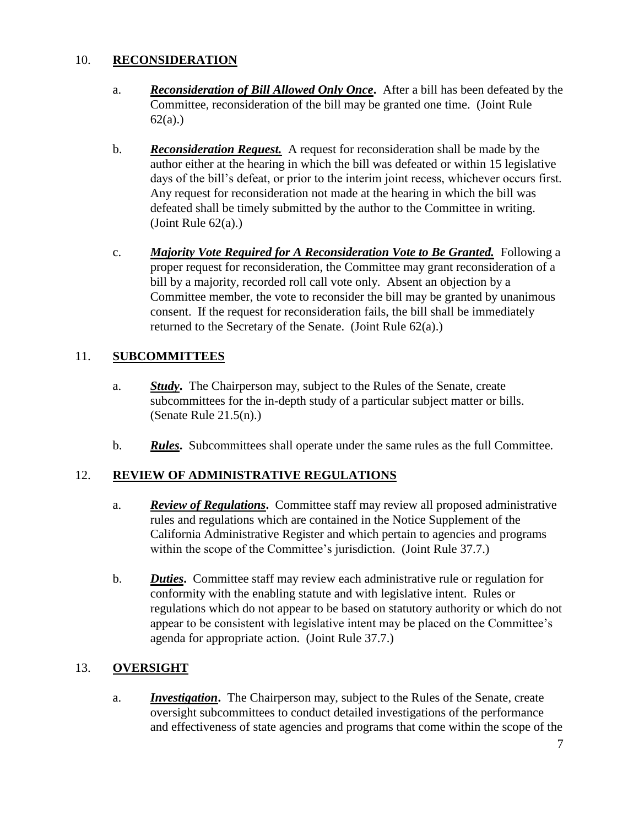### 10. **RECONSIDERATION**

- a. *Reconsideration of Bill Allowed Only Once***.** After a bill has been defeated by the Committee, reconsideration of the bill may be granted one time. (Joint Rule 62(a).)
- b. *Reconsideration Request.* A request for reconsideration shall be made by the author either at the hearing in which the bill was defeated or within 15 legislative days of the bill's defeat, or prior to the interim joint recess, whichever occurs first. Any request for reconsideration not made at the hearing in which the bill was defeated shall be timely submitted by the author to the Committee in writing. (Joint Rule  $62(a)$ .)
- c. *Majority Vote Required for A Reconsideration Vote to Be Granted.* Following a proper request for reconsideration, the Committee may grant reconsideration of a bill by a majority, recorded roll call vote only. Absent an objection by a Committee member, the vote to reconsider the bill may be granted by unanimous consent. If the request for reconsideration fails, the bill shall be immediately returned to the Secretary of the Senate. (Joint Rule 62(a).)

## 11. **SUBCOMMITTEES**

- a. *Study***.** The Chairperson may, subject to the Rules of the Senate, create subcommittees for the in-depth study of a particular subject matter or bills. (Senate Rule 21.5(n).)
- b. *Rules***.** Subcommittees shall operate under the same rules as the full Committee.

## 12. **REVIEW OF ADMINISTRATIVE REGULATIONS**

- a. *Review of Regulations***.** Committee staff may review all proposed administrative rules and regulations which are contained in the Notice Supplement of the California Administrative Register and which pertain to agencies and programs within the scope of the Committee's jurisdiction. (Joint Rule 37.7.)
- b. *Duties***.** Committee staff may review each administrative rule or regulation for conformity with the enabling statute and with legislative intent. Rules or regulations which do not appear to be based on statutory authority or which do not appear to be consistent with legislative intent may be placed on the Committee's agenda for appropriate action. (Joint Rule 37.7.)

## 13. **OVERSIGHT**

a. *Investigation***.** The Chairperson may, subject to the Rules of the Senate, create oversight subcommittees to conduct detailed investigations of the performance and effectiveness of state agencies and programs that come within the scope of the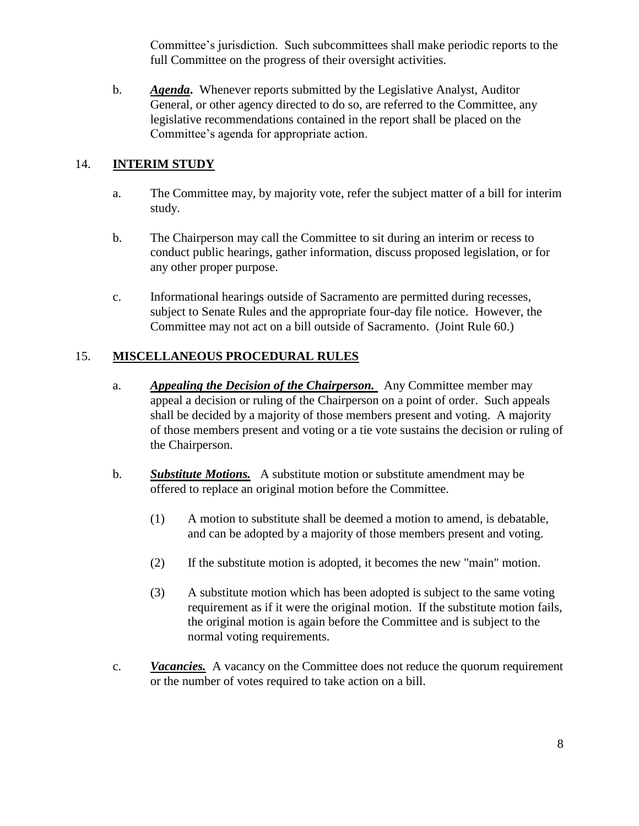Committee's jurisdiction. Such subcommittees shall make periodic reports to the full Committee on the progress of their oversight activities.

b. *Agenda***.** Whenever reports submitted by the Legislative Analyst, Auditor General, or other agency directed to do so, are referred to the Committee, any legislative recommendations contained in the report shall be placed on the Committee's agenda for appropriate action.

## 14. **INTERIM STUDY**

- a. The Committee may, by majority vote, refer the subject matter of a bill for interim study.
- b. The Chairperson may call the Committee to sit during an interim or recess to conduct public hearings, gather information, discuss proposed legislation, or for any other proper purpose.
- c. Informational hearings outside of Sacramento are permitted during recesses, subject to Senate Rules and the appropriate four-day file notice. However, the Committee may not act on a bill outside of Sacramento. (Joint Rule 60.)

### 15. **MISCELLANEOUS PROCEDURAL RULES**

- a. *Appealing the Decision of the Chairperson.* Any Committee member may appeal a decision or ruling of the Chairperson on a point of order. Such appeals shall be decided by a majority of those members present and voting. A majority of those members present and voting or a tie vote sustains the decision or ruling of the Chairperson.
- b. *Substitute Motions.* A substitute motion or substitute amendment may be offered to replace an original motion before the Committee.
	- (1) A motion to substitute shall be deemed a motion to amend, is debatable, and can be adopted by a majority of those members present and voting.
	- (2) If the substitute motion is adopted, it becomes the new "main" motion.
	- (3) A substitute motion which has been adopted is subject to the same voting requirement as if it were the original motion. If the substitute motion fails, the original motion is again before the Committee and is subject to the normal voting requirements.
- c. *Vacancies.* A vacancy on the Committee does not reduce the quorum requirement or the number of votes required to take action on a bill.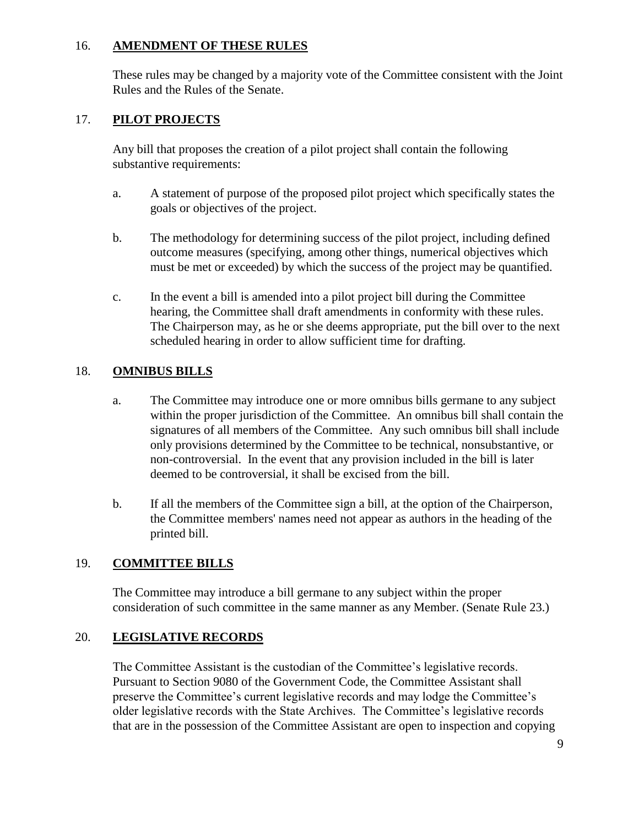#### 16. **AMENDMENT OF THESE RULES**

These rules may be changed by a majority vote of the Committee consistent with the Joint Rules and the Rules of the Senate.

### 17. **PILOT PROJECTS**

Any bill that proposes the creation of a pilot project shall contain the following substantive requirements:

- a. A statement of purpose of the proposed pilot project which specifically states the goals or objectives of the project.
- b. The methodology for determining success of the pilot project, including defined outcome measures (specifying, among other things, numerical objectives which must be met or exceeded) by which the success of the project may be quantified.
- c. In the event a bill is amended into a pilot project bill during the Committee hearing, the Committee shall draft amendments in conformity with these rules. The Chairperson may, as he or she deems appropriate, put the bill over to the next scheduled hearing in order to allow sufficient time for drafting.

## 18. **OMNIBUS BILLS**

- a. The Committee may introduce one or more omnibus bills germane to any subject within the proper jurisdiction of the Committee. An omnibus bill shall contain the signatures of all members of the Committee. Any such omnibus bill shall include only provisions determined by the Committee to be technical, nonsubstantive, or non-controversial. In the event that any provision included in the bill is later deemed to be controversial, it shall be excised from the bill.
- b. If all the members of the Committee sign a bill, at the option of the Chairperson, the Committee members' names need not appear as authors in the heading of the printed bill.

#### 19. **COMMITTEE BILLS**

The Committee may introduce a bill germane to any subject within the proper consideration of such committee in the same manner as any Member. (Senate Rule 23.)

#### 20. **LEGISLATIVE RECORDS**

The Committee Assistant is the custodian of the Committee's legislative records. Pursuant to Section 9080 of the Government Code, the Committee Assistant shall preserve the Committee's current legislative records and may lodge the Committee's older legislative records with the State Archives. The Committee's legislative records that are in the possession of the Committee Assistant are open to inspection and copying